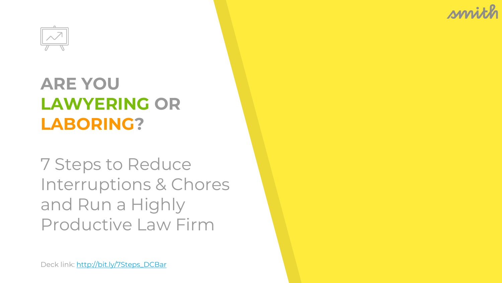

#### **ARE YOU LAWYERING OR LABORING?**

7 Steps to Reduce Interruptions & Chores and Run a Highly Productive Law Firm

Deck link: [http://bit.ly/7Steps\\_DCBar](http://bit.ly/7Steps_DCBar)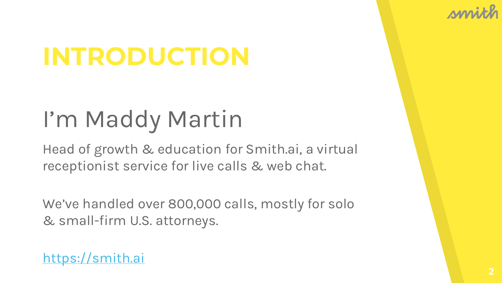

## **INTRODUCTION**

## I'm Maddy Martin

Head of growth & education for Smith.ai, a virtual receptionist service for live calls & web chat.

We've handled over 800,000 calls, mostly for solo & small-firm U.S. attorneys.

#### <https://smith.ai>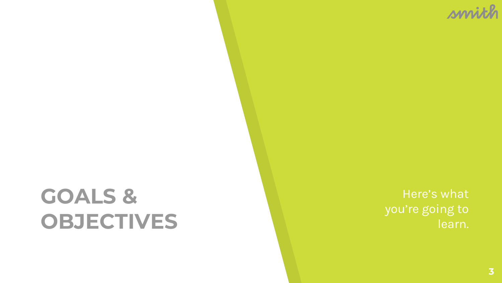## **GOALS & OBJECTIVES**

Here's what you're going to learn.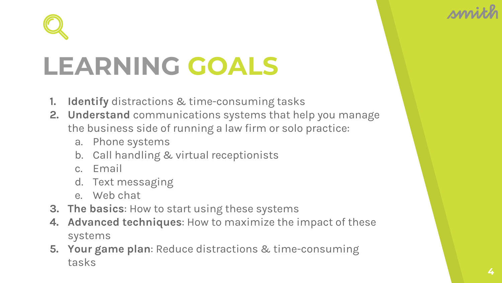



# **LEARNING GOALS**

- **1. Identify** distractions & time-consuming tasks
- **2. Understand** communications systems that help you manage the business side of running a law firm or solo practice:
	- a. Phone systems
	- b. Call handling & virtual receptionists
	- c. Email
	- d. Text messaging
	- e. Web chat
- **3. The basics**: How to start using these systems
- **4. Advanced techniques**: How to maximize the impact of these systems
- **5. Your game plan**: Reduce distractions & time-consuming tasks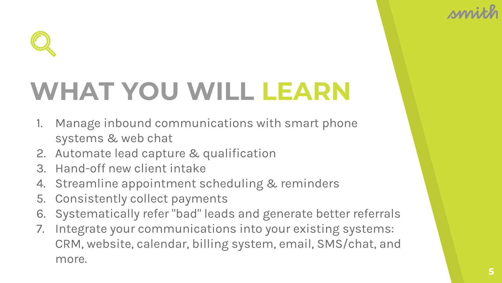

# **WHAT YOU WILL LEARN**

- 1. Manage inbound communications with smart phone systems & web chat
- 2. Automate lead capture & qualification
- 3. Hand-off new client intake
- 4. Streamline appointment scheduling & reminders
- 5. Consistently collect payments
- 6. Systematically refer "bad" leads and generate better referrals
- 7. Integrate your communications into your existing systems: CRM, website, calendar, billing system, email, SMS/chat, and more.

**MM**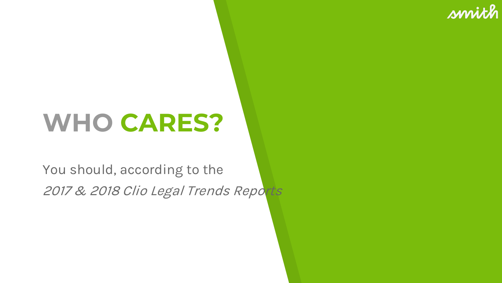# **WHO CARES?**

You should, according to the 2017 & 2018 Clio Legal Trends Reports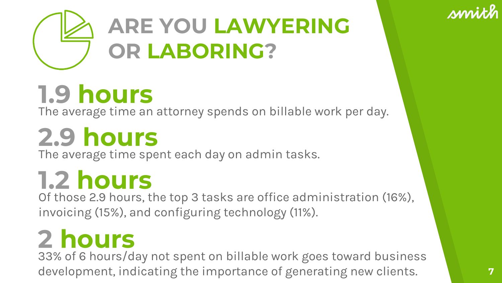

# **1.9 hours**

The average time an attorney spends on billable work per day.

# **2.9 hours**

The average time spent each day on admin tasks.

# **1.2 hours**

Of those 2.9 hours, the top 3 tasks are office administration (16%), invoicing (15%), and configuring technology (11%).

# **2 hours**

33% of 6 hours/day not spent on billable work goes toward business development, indicating the importance of generating new clients.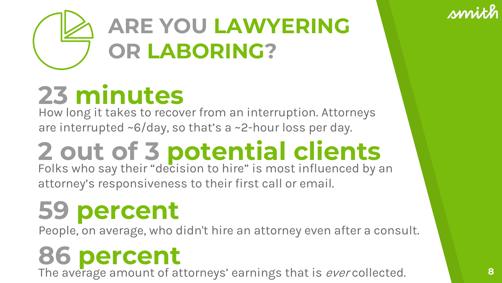

# **23 minutes**

How long it takes to recover from an interruption. Attorneys are interrupted ~6/day, so that's a ~2-hour loss per day.

# **2 out of 3 potential clients** Folks who say their "decision to hire" is most influenced by an

attorney's responsiveness to their first call or email.

## **59 percent**

People, on average, who didn't hire an attorney even after a consult.

**86 percent**<br>The average amount of attorneys' earnings that is *ever* collected. **8**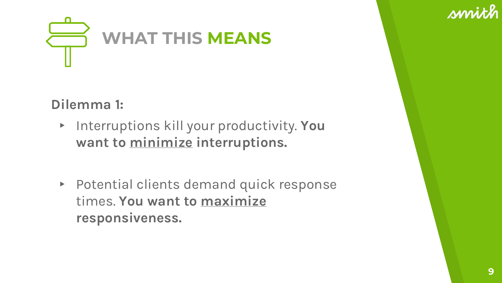

**Dilemma 1:**

- ▸ Interruptions kill your productivity. **You want to minimize interruptions.**
- ▸ Potential clients demand quick response times. **You want to maximize responsiveness.**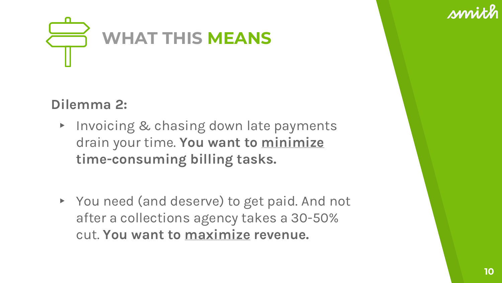

#### **Dilemma 2:**

- ▸ Invoicing & chasing down late payments drain your time. **You want to minimize time-consuming billing tasks.**
- ▸ You need (and deserve) to get paid. And not after a collections agency takes a 30-50% cut. **You want to maximize revenue.**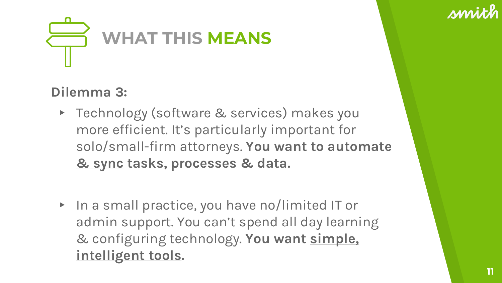



#### **Dilemma 3:**

- ▸ Technology (software & services) makes you more efficient. It's particularly important for solo/small-firm attorneys. **You want to automate & sync tasks, processes & data.**
- ▸ In a small practice, you have no/limited IT or admin support. You can't spend all day learning & configuring technology. **You want simple, intelligent tools.**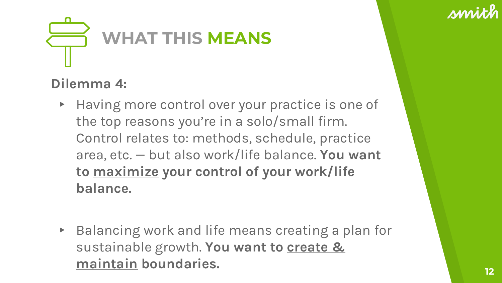



#### **Dilemma 4:**

- ▸ Having more control over your practice is one of the top reasons you're in a solo/small firm. Control relates to: methods, schedule, practice area, etc. — but also work/life balance. **You want to maximize your control of your work/life balance.**
- ▸ Balancing work and life means creating a plan for sustainable growth. **You want to create & maintain boundaries. <sup>12</sup>**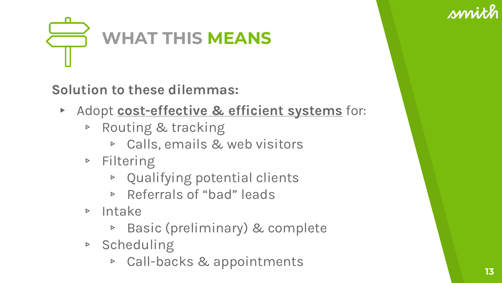



**Solution to these dilemmas:** 

- ▸ Adopt **cost-effective & efficient systems** for:
	- ▹ Routing & tracking
		- ▹ Calls, emails & web visitors
	- ▹ Filtering
		- ▹ Qualifying potential clients
		- ▹ Referrals of "bad" leads
	- ▹ Intake
		- ▹ Basic (preliminary) & complete
	- ▹ Scheduling
		- ▹ Call-backs & appointments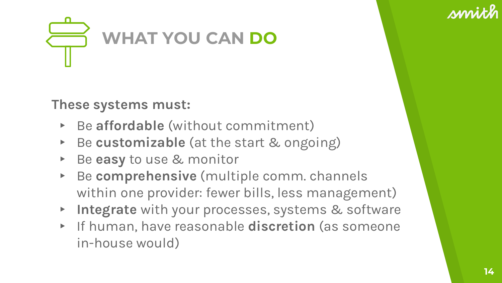



**These systems must:** 

- ▸ Be **affordable** (without commitment)
- ▸ Be **customizable** (at the start & ongoing)
- ▸ Be **easy** to use & monitor
- ▸ Be **comprehensive** (multiple comm. channels within one provider: fewer bills, less management)
- Integrate with your processes, systems & software
- ▸ If human, have reasonable **discretion** (as someone in-house would)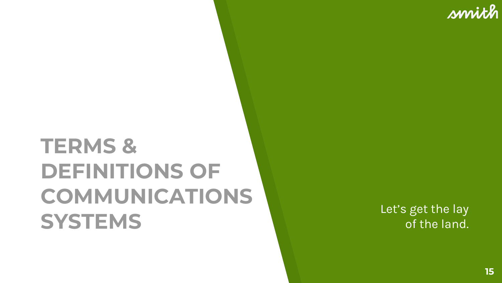## **TERMS & DEFINITIONS OF COMMUNICATIONS SYSTEMS** Let's get the lay<br> **SYSTEMS** of the land.

of the land.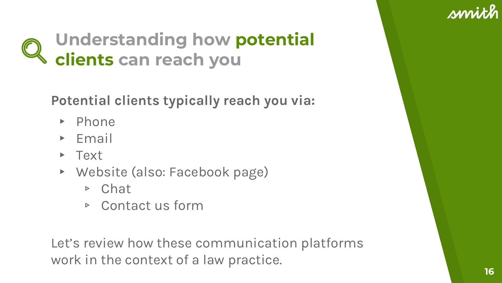

### **Understanding how potential clients can reach you**

**Potential clients typically reach you via:**

- ▸ Phone
- ▸ Email
- ▸ Text
- ▸ Website (also: Facebook page)
	- ▹ Chat
	- ▹ Contact us form

Let's review how these communication platforms work in the context of a law practice.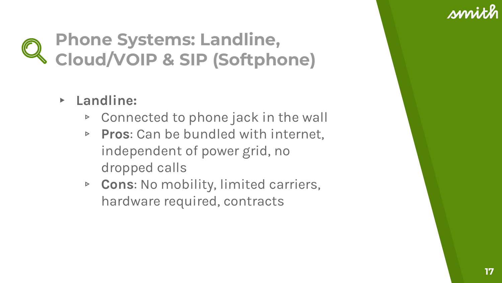### **Phone Systems: Landline, Cloud/VOIP & SIP (Softphone)**

- ▸ **Landline:**
	- ▹ Connected to phone jack in the wall
	- ▹ **Pros**: Can be bundled with internet, independent of power grid, no dropped calls
	- ▹ **Cons**: No mobility, limited carriers, hardware required, contracts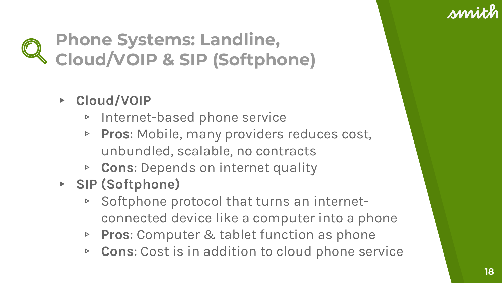### **Phone Systems: Landline, Cloud/VOIP & SIP (Softphone)**

- ▸ **Cloud/VOIP**
	- ▹ Internet-based phone service
	- ▹ **Pros**: Mobile, many providers reduces cost, unbundled, scalable, no contracts
	- ▹ **Cons**: Depends on internet quality
- ▸ **SIP (Softphone)**
	- ▹ Softphone protocol that turns an internetconnected device like a computer into a phone
	- ▹ **Pros**: Computer & tablet function as phone
	- ▹ **Cons**: Cost is in addition to cloud phone service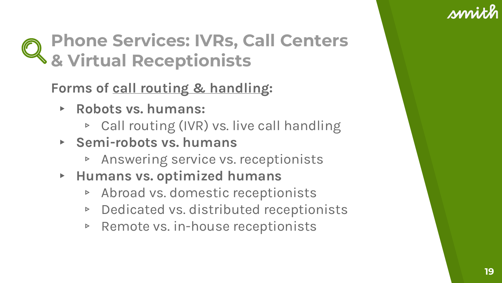### **Phone Services: IVRs, Call Centers & Virtual Receptionists**

**Forms of call routing & handling:**

- ▸ **Robots vs. humans:**
	- ▹ Call routing (IVR) vs. live call handling
- ▸ **Semi-robots vs. humans**
	- ▹ Answering service vs. receptionists
- ▸ **Humans vs. optimized humans**
	- ▹ Abroad vs. domestic receptionists
	- ▹ Dedicated vs. distributed receptionists
	- ▹ Remote vs. in-house receptionists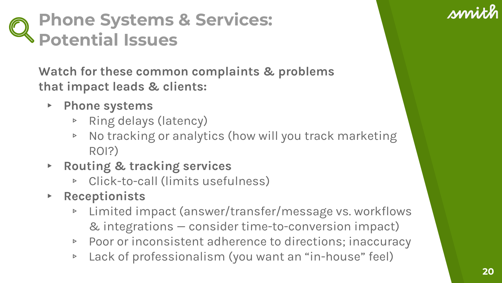### **Phone Systems & Services: Potential Issues**

**Watch for these common complaints & problems that impact leads & clients:**

- ▸ **Phone systems**
	- ▹ Ring delays (latency)
	- ▹ No tracking or analytics (how will you track marketing ROI?)
- ▸ **Routing & tracking services**
	- ▹ Click-to-call (limits usefulness)
- ▸ **Receptionists**
	- ▹ Limited impact (answer/transfer/message vs. workflows & integrations — consider time-to-conversion impact)
	- ▹ Poor or inconsistent adherence to directions; inaccuracy
	- ▹ Lack of professionalism (you want an "in-house" feel)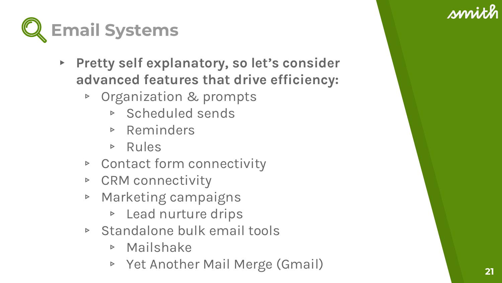

- ▸ **Pretty self explanatory, so let's consider advanced features that drive efficiency:**
	- ▹ Organization & prompts
		- ▹ Scheduled sends
		- ▹ Reminders
		- ▹ Rules
	- ▹ Contact form connectivity
	- ▹ CRM connectivity
	- ▹ Marketing campaigns
		- ▹ Lead nurture drips
	- ▹ Standalone bulk email tools
		- ▹ Mailshake
		- ▹ Yet Another Mail Merge (Gmail) **<sup>21</sup>**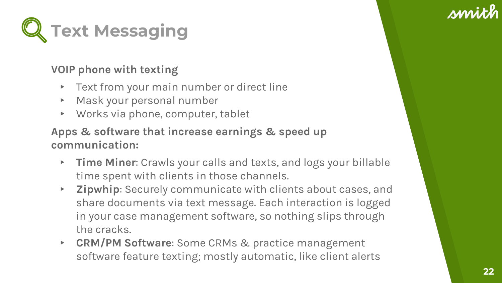

#### **VOIP phone with texting**

- ▸ Text from your main number or direct line
- ▸ Mask your personal number
- ▸ Works via phone, computer, tablet

#### **Apps & software that increase earnings & speed up communication:**

- ▸ **Time Miner**: Crawls your calls and texts, and logs your billable time spent with clients in those channels.
- ▸ **Zipwhip**: Securely communicate with clients about cases, and share documents via text message. Each interaction is logged in your case management software, so nothing slips through the cracks.
- ▸ **CRM/PM Software**: Some CRMs & practice management software feature texting; mostly automatic, like client alerts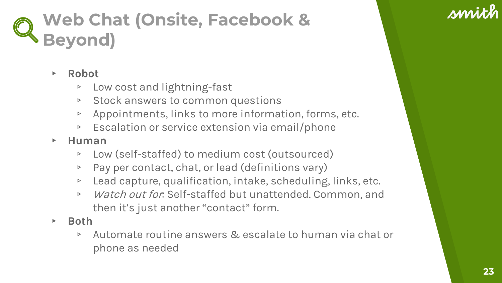### **Web Chat (Onsite, Facebook & Beyond)**

#### ▸ **Robot**

- ▹ Low cost and lightning-fast
- ▹ Stock answers to common questions
- ▹ Appointments, links to more information, forms, etc.
- ▹ Escalation or service extension via email/phone
- ▸ **Human**
	- ▹ Low (self-staffed) to medium cost (outsourced)
	- ▹ Pay per contact, chat, or lead (definitions vary)
	- ▹ Lead capture, qualification, intake, scheduling, links, etc.
	- ▹ Watch out for: Self-staffed but unattended. Common, and then it's just another "contact" form.
- ▸ **Both**
	- ▹ Automate routine answers & escalate to human via chat or phone as needed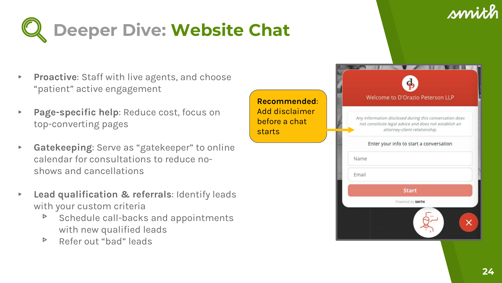



- ▸ **Proactive**: Staff with live agents, and choose "patient" active engagement
- Page-specific help: Reduce cost, focus on top-converting pages
- ▸ **Gatekeeping**: Serve as "gatekeeper" to online calendar for consultations to reduce noshows and cancellations
- **Lead qualification & referrals: Identify leads** with your custom criteria
	- ▹ Schedule call-backs and appointments with new qualified leads
	- ▹ Refer out "bad" leads

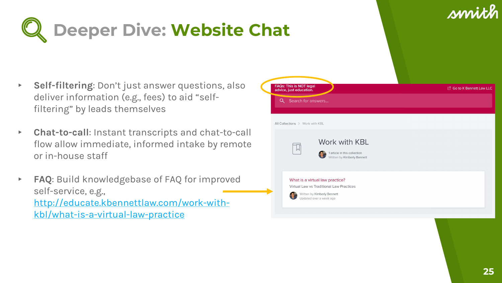

- ▸ **Self-filtering**: Don't just answer questions, also deliver information (e.g., fees) to aid "selffiltering" by leads themselves
- ▸ **Chat-to-call**: Instant transcripts and chat-to-call flow allow immediate, informed intake by remote or in-house staff
- ▸ **FAQ**: Build knowledgebase of FAQ for improved self-service, e.g., [http://educate.kbennettlaw.com/work-with](http://educate.kbennettlaw.com/work-with-kbl/what-is-a-virtual-law-practice)kbl/what-is-a-virtual-law-practice

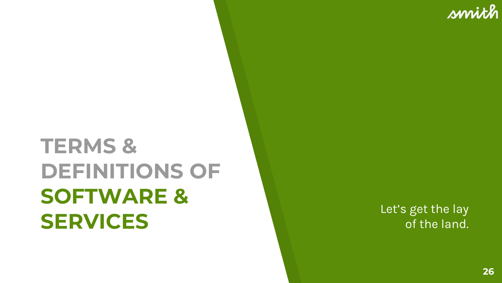of the land.

smith

## **TERMS & DEFINITIONS OF SOFTWARE & SERVICES** Let's get the lay<br> **SERVICES** of the land.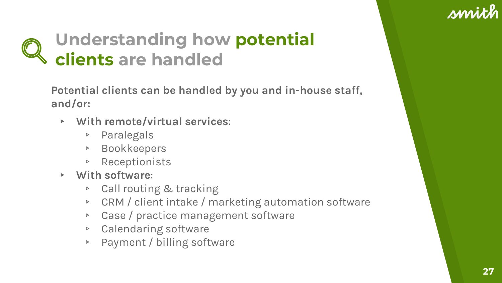### **Understanding how potential clients are handled**

**Potential clients can be handled by you and in-house staff, and/or:**

- ▸ **With remote/virtual services**:
	- ▹ Paralegals
	- ▹ Bookkeepers
	- ▹ Receptionists
- ▸ **With software**:
	- ▹ Call routing & tracking
	- ▹ CRM / client intake / marketing automation software
	- ▹ Case / practice management software
	- ▹ Calendaring software
	- ▹ Payment / billing software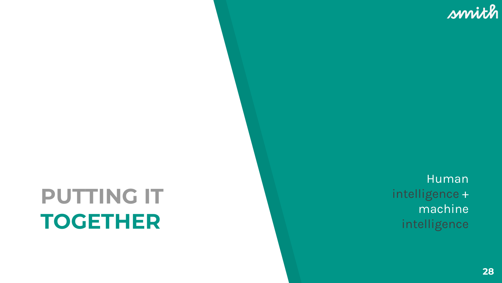## **PUTTING IT TOGETHER**

Human intelligence + machine intelligence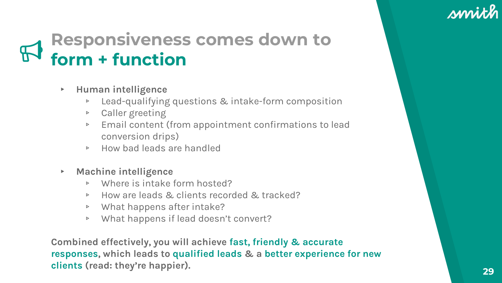### **Responsiveness comes down to form + function**

- ▸ **Human intelligence** 
	- ▹ Lead-qualifying questions & intake-form composition
	- ▹ Caller greeting
	- ▹ Email content (from appointment confirmations to lead conversion drips)
	- ▹ How bad leads are handled
- ▸ **Machine intelligence**
	- ▹ Where is intake form hosted?
	- ▹ How are leads & clients recorded & tracked?
	- ▹ What happens after intake?
	- ▹ What happens if lead doesn't convert?

**Combined effectively, you will achieve fast, friendly & accurate responses, which leads to qualified leads & a better experience for new clients (read: they're happier). <sup>29</sup>**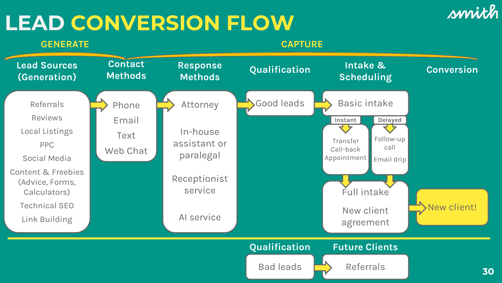### **LEAD CONVERSION FLOW**

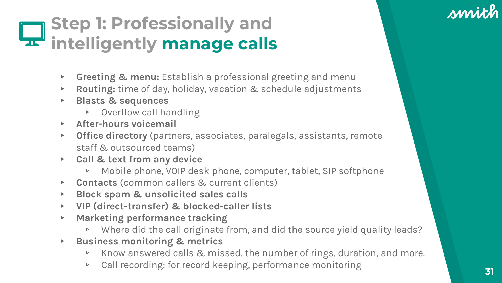### **Step 1: Professionally and intelligently manage calls**

- ▸ **Greeting & menu:** Establish a professional greeting and menu
- ▸ **Routing:** time of day, holiday, vacation & schedule adjustments
- ▸ **Blasts & sequences**
	- ▹ Overflow call handling
- ▸ **After-hours voicemail**
- ▸ **Office directory** (partners, associates, paralegals, assistants, remote staff & outsourced teams)
- ▸ **Call & text from any device**
	- ▹ Mobile phone, VOIP desk phone, computer, tablet, SIP softphone
- ▸ **Contacts** (common callers & current clients)
- ▸ **Block spam & unsolicited sales calls**
- ▸ **VIP (direct-transfer) & blocked-caller lists**
- ▸ **Marketing performance tracking**
	- ▹ Where did the call originate from, and did the source yield quality leads?
- ▸ **Business monitoring & metrics**
	- ▹ Know answered calls & missed, the number of rings, duration, and more.
	- ▹ Call recording: for record keeping, performance monitoring **<sup>31</sup>**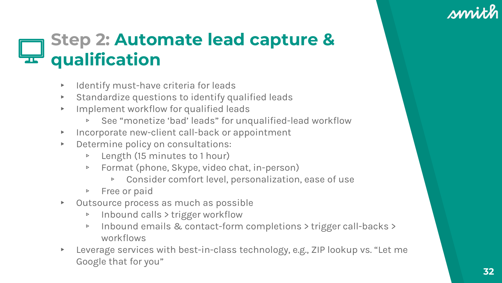### **Step 2: Automate lead capture & qualification**

- Identify must-have criteria for leads
- ▸ Standardize questions to identify qualified leads
- ▸ Implement workflow for qualified leads
	- ▹ See "monetize 'bad' leads" for unqualified-lead workflow
- ▸ Incorporate new-client call-back or appointment
- ▸ Determine policy on consultations:
	- ▹ Length (15 minutes to 1 hour)
	- ▹ Format (phone, Skype, video chat, in-person)
		- ▹ Consider comfort level, personalization, ease of use
	- ▹ Free or paid
- ▸ Outsource process as much as possible
	- ▹ Inbound calls > trigger workflow
	- ▹ Inbound emails & contact-form completions > trigger call-backs > workflows
- Leverage services with best-in-class technology, e.g., ZIP lookup vs. "Let me Google that for you"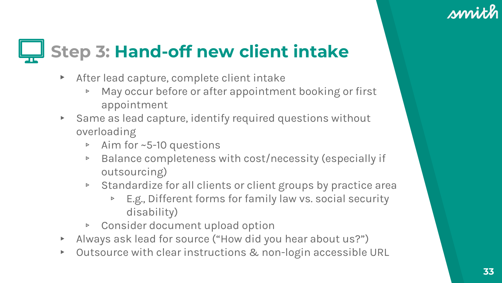## **Step 3: Hand-off new client intake**

- After lead capture, complete client intake
	- ▹ May occur before or after appointment booking or first appointment
- ▸ Same as lead capture, identify required questions without overloading
	- ▹ Aim for ~5-10 questions
	- ▹ Balance completeness with cost/necessity (especially if outsourcing)
	- ▹ Standardize for all clients or client groups by practice area
		- ▹ E.g., Different forms for family law vs. social security disability)
	- ▹ Consider document upload option
- ▸ Always ask lead for source ("How did you hear about us?")
- ▸ Outsource with clear instructions & non-login accessible URL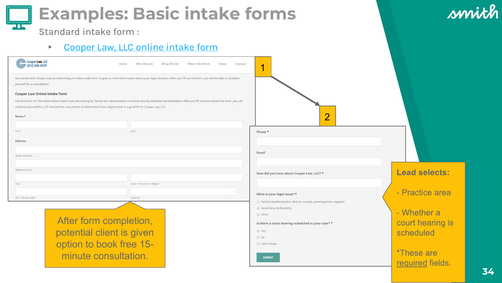### **Examples: Basic intake forms**

smith

Standard intake form :

#### ▶ [Cooper Law, LLC online intake form](http://www.cooperlawmn.com/cooper-law-online-intake-form/)

| Cooper Law, LLC<br>$(612) 568 - 4529$ |                                                                                                                                                                                                                                                                                                                        | Home | Who We Are                | What We Do | Where We Work | News | Contact |
|---------------------------------------|------------------------------------------------------------------------------------------------------------------------------------------------------------------------------------------------------------------------------------------------------------------------------------------------------------------------|------|---------------------------|------------|---------------|------|---------|
| yourself for a consultation.          | Get started with Cooper Law by submitting an online intake form to give us more information about your legal situation. After you fill out the form, you will be able to schedule                                                                                                                                      |      |                           |            |               |      |         |
| Cooper Law Online Intake Form         | Use this form for the initial online intake if you are looking for family law representation or social security disability representation. After you fill out and submit the form, you can<br>schedule yourself for a 15 minute free consultation to determine if your legal matter is a good fit for Cooper Law, LLC. |      |                           |            |               |      |         |
| Name *                                |                                                                                                                                                                                                                                                                                                                        |      |                           |            |               |      |         |
| First                                 |                                                                                                                                                                                                                                                                                                                        |      | Last                      |            |               |      |         |
| Address                               |                                                                                                                                                                                                                                                                                                                        |      |                           |            |               |      |         |
| Street Address                        |                                                                                                                                                                                                                                                                                                                        |      |                           |            |               |      |         |
| Address Line 2                        |                                                                                                                                                                                                                                                                                                                        |      |                           |            |               |      |         |
| City                                  |                                                                                                                                                                                                                                                                                                                        |      | State / Province / Region |            |               |      |         |
| ZIP / Postal Code                     |                                                                                                                                                                                                                                                                                                                        |      | Country                   |            |               |      |         |
|                                       | After form completion,<br>potential client is given<br>option to book free 15-<br>minute consultation.                                                                                                                                                                                                                 |      |                           |            |               |      |         |



**SUBMIT** 

required fields.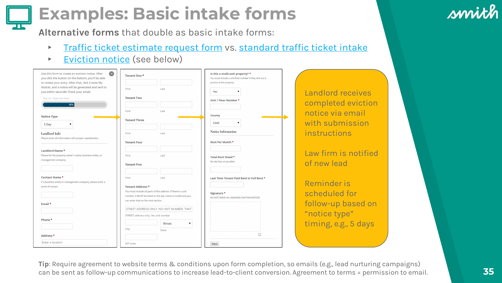### **Examples: Basic intake forms**

**Alternative forms** that double as basic intake forms:

- **Firaffic ticket estimate request form vs. [standard traffic ticket intake](https://www.michaelblocklawyer.com/client-intake-form/comment-page-1)**
- ▶ [Eviction notice](https://www.chicitylegal.com/forms/) (see below)

| $\infty$<br>Use this form to create an eviction notice. After<br>you click the button on the bottom, you'll be able<br>to review your entry. After that, click Create My | Tenant One *                                                                                                                                                          | Is this a multi-unit property? *<br>You must include a unit/floor number if they rent out a<br>portion of the property. |                               |
|--------------------------------------------------------------------------------------------------------------------------------------------------------------------------|-----------------------------------------------------------------------------------------------------------------------------------------------------------------------|-------------------------------------------------------------------------------------------------------------------------|-------------------------------|
| Notice!, and a notice will be generated and sent to<br>you within seconds! Check your email.                                                                             | First<br>Last                                                                                                                                                         | Yes                                                                                                                     | Landlord rec                  |
| Step 1 of 2 - Prepare Your Notice<br>50%                                                                                                                                 | <b>Tenant Two</b>                                                                                                                                                     | Unit / Floor Number *                                                                                                   | completed e                   |
| Notice Type                                                                                                                                                              | Last<br>First<br><b>Tenant Three</b>                                                                                                                                  | County<br>Cook                                                                                                          | notice via er<br>with submis  |
| 5 Day<br>Landlord Info                                                                                                                                                   | First<br>Last                                                                                                                                                         | Notice Information                                                                                                      | instructions                  |
| Please enter all information with proper capitalization.                                                                                                                 | <b>Tenant Four</b>                                                                                                                                                    | Rent Per Month *                                                                                                        |                               |
| Landlord Name*<br>Please list the property owner's name, business entity, or<br>management company                                                                       | First<br>Last                                                                                                                                                         | Total Rent Owed *<br>No late fees or penalties                                                                          | Law firm is r<br>of new lead  |
|                                                                                                                                                                          | <b>Tenant Five</b>                                                                                                                                                    |                                                                                                                         |                               |
| Contact Name*<br>If a business entity or management company, please enter a<br>point of contact                                                                          | First<br>Last<br>Tenant Address *                                                                                                                                     | Last Time Tenant Paid Rent or Full Rent *                                                                               | Reminder is                   |
|                                                                                                                                                                          | You must include all parts of the address. If there's a unit<br>number, it MUST be listed or the day notice is invalid and you<br>can enter that on the next section. | Signature *<br>DO NOT SERVE AN UNSIGNED EVICTION NOTICE!                                                                | scheduled fo                  |
| Email *                                                                                                                                                                  | STREET ADDRESS ONLY, NO UNIT NUMBER, THAT                                                                                                                             |                                                                                                                         | follow-up ba<br>"notice type" |
| Phone *                                                                                                                                                                  | STREET address only. No unit number<br>Illinois<br>۷.                                                                                                                 |                                                                                                                         | timing, e.g., !               |
| Address*                                                                                                                                                                 | City<br>State                                                                                                                                                         |                                                                                                                         |                               |
| Enter a location                                                                                                                                                         | ZIP Code                                                                                                                                                              | Next                                                                                                                    |                               |

eives viction nail ision

**Latified** 

Reminder is scheduled for sed on "notice type" days

**Tip**: Require agreement to website terms & conditions upon form completion, so emails (e.g., lead nurturing campaigns) can be sent as follow-up communications to increase lead-to-client conversion. Agreement to terms = permission to email.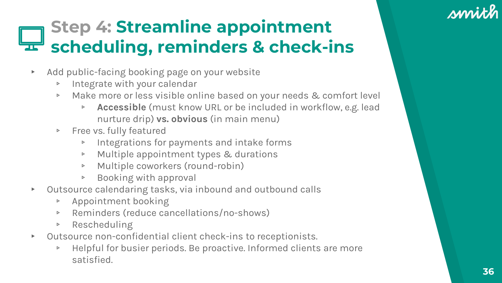### **Step 4: Streamline appointment scheduling, reminders & check-ins**

- ▸ Add public-facing booking page on your website
	- ▹ Integrate with your calendar
	- ▹ Make more or less visible online based on your needs & comfort level
		- ▹ **Accessible** (must know URL or be included in workflow, e.g. lead nurture drip) **vs. obvious** (in main menu)
	- ▹ Free vs. fully featured
		- ▹ Integrations for payments and intake forms
		- ▹ Multiple appointment types & durations
		- ▹ Multiple coworkers (round-robin)
		- ▹ Booking with approval
- ▸ Outsource calendaring tasks, via inbound and outbound calls
	- ▹ Appointment booking
	- ▹ Reminders (reduce cancellations/no-shows)
	- ▹ Rescheduling
- ▸ Outsource non-confidential client check-ins to receptionists.
	- ▹ Helpful for busier periods. Be proactive. Informed clients are more satisfied.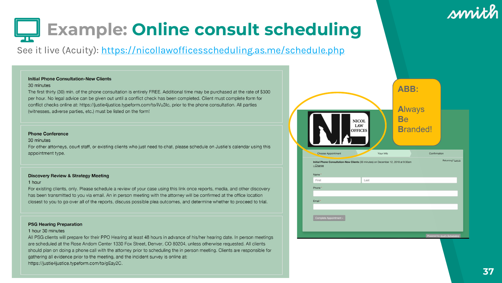#### sprith

## **Example: Online consult scheduling**

#### See it live (Acuity): <https://nicollawofficesscheduling.as.me/schedule.php>

#### **Initial Phone Consultation-New Clients**

#### 30 minutes

The first thirty (30) min. of the phone consultation is entirely FREE. Additional time may be purchased at the rate of \$300 per hour. No legal advice can be given out until a conflict check has been completed. Client must complete form for conflict checks online at: https://justie4justice.typeform.com/to/iVu3lc, prior to the phone consultation. All parties (witnesses, adverse parties, etc.) must be listed on the form!

#### **Phone Conference**

#### 30 minutes

For other attorneys, court staff, or existing clients who just need to chat, please schedule on Justie's calendar using this appointment type.

#### **Discovery Review & Strategy Meeting**

#### 1 hour

For existing clients, only. Please schedule a review of your case using this link once reports, media, and other discovery has been transmitted to you via email. An in person meeting with the attorney will be confirmed at the office location closest to you to go over all of the reports, discuss possible plea outcomes, and determine whether to proceed to trial.

#### **PSG Hearing Preparation**

#### 1 hour 30 minutes

All PSG clients will prepare for their PPO Hearing at least 48 hours in advance of his/her hearing date. In person meetings are scheduled at the Rose Andom Center 1330 Fox Street, Denver, CO 80204, unless otherwise requested. All clients should plan on doing a phone call with the attorney prior to scheduling the in person meeting. Clients are responsible for gathering all evidence prior to the meeting, and the incident survey is online at: https://justie4justice.typeform.com/to/gEay2C.

|                                                                                                | <b>NICOL</b><br>LAW<br><b>OFFICES</b> |           | ABB:<br><b>Always</b><br><b>Be</b><br><b>Branded!</b> |                   |
|------------------------------------------------------------------------------------------------|---------------------------------------|-----------|-------------------------------------------------------|-------------------|
| Choose Appointment                                                                             |                                       | Your Info |                                                       | Confirmation      |
| Initial Phone Consultation-New Clients (30 minutes) on December 12, 2018 at 9:30am<br>« Change |                                       |           |                                                       | Returning? Log.in |
| Name <sup>*</sup>                                                                              |                                       |           |                                                       |                   |
| First                                                                                          | Last                                  |           |                                                       |                   |
| Phone *                                                                                        |                                       |           |                                                       |                   |
|                                                                                                |                                       |           |                                                       |                   |
| Email *                                                                                        |                                       |           |                                                       |                   |
|                                                                                                |                                       |           |                                                       |                   |
| Complete Appointment »                                                                         |                                       |           |                                                       |                   |
|                                                                                                |                                       |           |                                                       |                   |
|                                                                                                |                                       |           |                                                       |                   |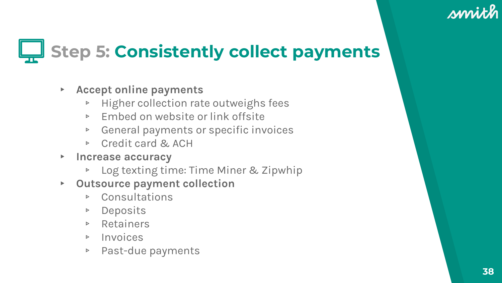## **Step 5: Consistently collect payments**

- ▸ **Accept online payments**
	- ▹ Higher collection rate outweighs fees
	- ▹ Embed on website or link offsite
	- ▹ General payments or specific invoices
	- ▹ Credit card & ACH
- ▸ **Increase accuracy**
	- ▹ Log texting time: Time Miner & Zipwhip
- ▸ **Outsource payment collection**
	- ▹ Consultations
	- ▹ Deposits
	- ▹ Retainers
	- ▹ Invoices
	- ▹ Past-due payments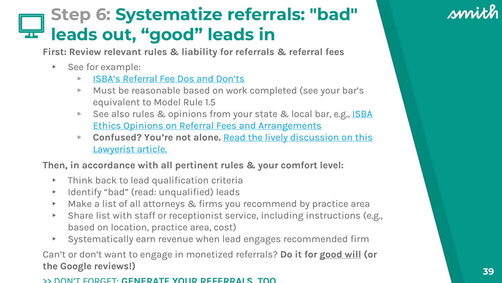#### **Step 6: Systematize referrals: "bad" leads out, "good" leads in**

**First: Review relevant rules & liability for referrals & referral fees**

- ▸ See for example:
	- ▹ [ISBA's Referral Fee Dos and Don'ts](https://www.isba.org/ibj/2005/05/feenotsosimplereferralfeedosanddont)
	- ▹ Must be reasonable based on work completed (see your bar's equivalent to Model Rule 1.5
	- **▶ [See also rules & opinions from your state & local bar, e.g., ISBA](https://www.isba.org/ethics/bysubject/Referral%20Fees%20and%20Arrangements)** Ethics Opinions on Referral Fees and Arrangements
	- ▹ **Confused? You're not alone.** [Read the lively discussion on this](https://lawyerist.com/lawyer-referral-fees-worth-paying/)  Lawyerist article.

**Then, in accordance with all pertinent rules & your comfort level:**

- ▸ Think back to lead qualification criteria
- ▸ Identify "bad" (read: unqualified) leads
- ▸ Make a list of all attorneys & firms you recommend by practice area
- ▸ Share list with staff or receptionist service, including instructions (e.g., based on location, practice area, cost)
- ▸ Systematically earn revenue when lead engages recommended firm

Can't or don't want to engage in monetized referrals? **Do it for good will (or the Google reviews!)**

#### >> DON'T FORGET: **GENERATE YOUR REFERRALS TOO**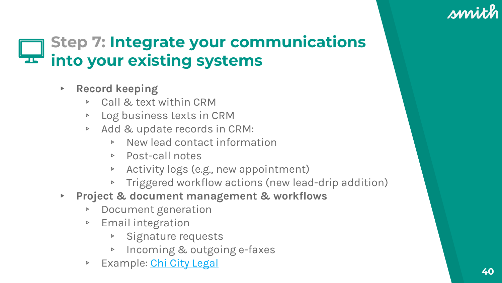#### **Step 7: Integrate your communications into your existing systems**

- ▸ **Record keeping**
	- ▹ Call & text within CRM
	- ▹ Log business texts in CRM
	- ▹ Add & update records in CRM:
		- ▹ New lead contact information
		- ▹ Post-call notes
		- ▹ Activity logs (e.g., new appointment)
		- ▹ Triggered workflow actions (new lead-drip addition)
- ▸ **Project & document management & workflows**
	- ▹ Document generation
	- ▹ Email integration
		- ▹ Signature requests
		- ▹ Incoming & outgoing e-faxes
	- ▹ Example: [Chi City Legal](https://smith.ai/blog/2018/04/how-automate-your-small-business/) **40**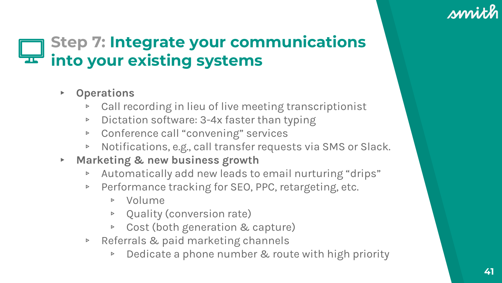#### **Step 7: Integrate your communications into your existing systems**

- ▸ **Operations**
	- ▹ Call recording in lieu of live meeting transcriptionist
	- ▹ Dictation software: 3-4x faster than typing
	- ▹ Conference call "convening" services
	- ▹ Notifications, e.g., call transfer requests via SMS or Slack.
- ▸ **Marketing & new business growth**
	- ▹ Automatically add new leads to email nurturing "drips"
	- ▹ Performance tracking for SEO, PPC, retargeting, etc.
		- ▹ Volume
		- ▹ Quality (conversion rate)
		- ▹ Cost (both generation & capture)
	- ▹ Referrals & paid marketing channels
		- ▹ Dedicate a phone number & route with high priority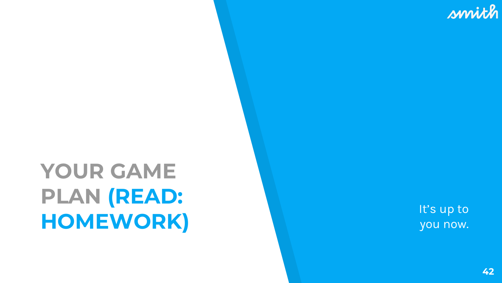## **YOUR GAME PLAN (READ: HOMEWORK)** It's up to the Unit of the Unit of the Unit of the Unit of the Unit of the Unit of the Unit of the Unit of the Unit of the Unit of the Unit of the Unit of the Unit of the Unit of the Unit of the Unit of the Uni

you now.

**42**

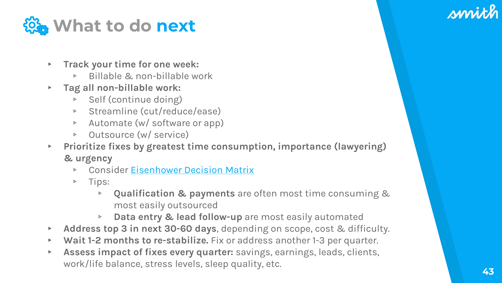

- ▸ **Track your time for one week:**
	- ▹ Billable & non-billable work
- ▸ **Tag all non-billable work:**
	- ▹ Self (continue doing)
	- ▹ Streamline (cut/reduce/ease)
	- ▹ Automate (w/ software or app)
	- ▹ Outsource (w/ service)
- ▸ **Prioritize fixes by greatest time consumption, importance (lawyering) & urgency**
	- ▹ Consider [Eisenhower Decision Matrix](https://www.eisenhower.me/eisenhower-matrix/)
	- ▹ Tips:
		- ▹ **Qualification & payments** are often most time consuming & most easily outsourced
		- ▹ **Data entry & lead follow-up** are most easily automated
- ▸ **Address top 3 in next 30-60 days**, depending on scope, cost & difficulty.
- ▸ **Wait 1-2 months to re-stabilize.** Fix or address another 1-3 per quarter.
- ▸ **Assess impact of fixes every quarter:** savings, earnings, leads, clients, work/life balance, stress levels, sleep quality, etc.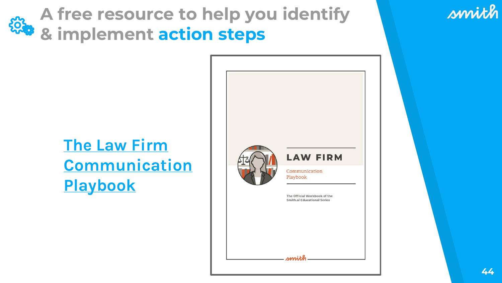**A free resource to help you identify & implement action steps**

#### **The Law Firm [Communication](https://smith.ai/documents/law-firm-communication-playbook) Playbook**